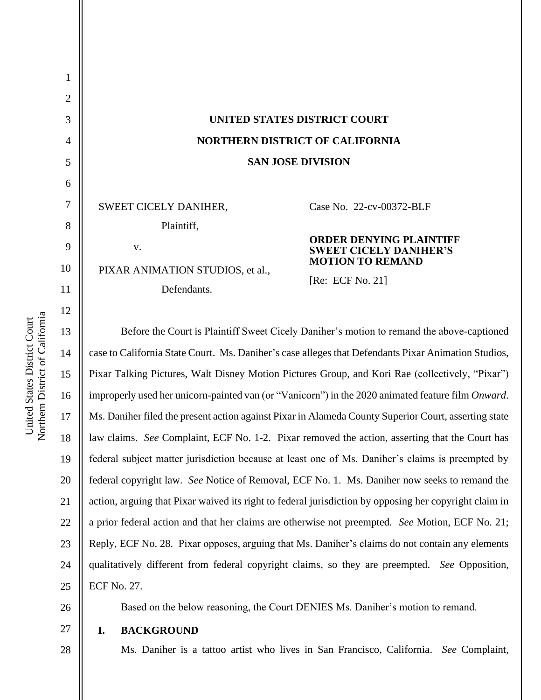| $\overline{2}$ |                                                                                                     |                                                                 |
|----------------|-----------------------------------------------------------------------------------------------------|-----------------------------------------------------------------|
| 3              | UNITED STATES DISTRICT COURT                                                                        |                                                                 |
| 4              | <b>NORTHERN DISTRICT OF CALIFORNIA</b>                                                              |                                                                 |
| 5              | <b>SAN JOSE DIVISION</b>                                                                            |                                                                 |
| 6              |                                                                                                     |                                                                 |
| 7              | SWEET CICELY DANIHER,                                                                               | Case No. 22-cv-00372-BLF                                        |
| 8              | Plaintiff,                                                                                          |                                                                 |
| 9              | V.                                                                                                  | <b>ORDER DENYING PLAINTIFF</b><br><b>SWEET CICELY DANIHER'S</b> |
| 10             | PIXAR ANIMATION STUDIOS, et al.,                                                                    | <b>MOTION TO REMAND</b>                                         |
| 11             | Defendants.                                                                                         | [ $Re: ECF No. 21$ ]                                            |
| 12             |                                                                                                     |                                                                 |
| 13             | Before the Court is Plaintiff Sweet Cicely Daniher's motion to remand the above-captioned           |                                                                 |
| 14             | case to California State Court. Ms. Daniher's case alleges that Defendants Pixar Animation Studios, |                                                                 |
| 15             | Pixar Talking Pictures, Walt Disney Motion Pictures Group, and Kori Rae (collectively, "Pixar")     |                                                                 |
|                |                                                                                                     |                                                                 |

Pixar Animation Studios, e (collectively, "Pixar") improperly used her unicorn-painted van (or "Vanicorn") in the 2020 animated feature film *Onward*. Ms. Daniher filed the present action against Pixar in Alameda County Superior Court, asserting state law claims. *See* Complaint, ECF No. 1-2. Pixar removed the action, asserting that the Court has federal subject matter jurisdiction because at least one of Ms. Daniher's claims is preempted by federal copyright law. *See* Notice of Removal, ECF No. 1. Ms. Daniher now seeks to remand the action, arguing that Pixar waived its right to federal jurisdiction by opposing her copyright claim in a prior federal action and that her claims are otherwise not preempted. *See* Motion, ECF No. 21; Reply, ECF No. 28. Pixar opposes, arguing that Ms. Daniher's claims do not contain any elements qualitatively different from federal copyright claims, so they are preempted. *See* Opposition, ECF No. 27.



27

28

Based on the below reasoning, the Court DENIES Ms. Daniher's motion to remand.

## **I. BACKGROUND**

Ms. Daniher is a tattoo artist who lives in San Francisco, California. *See* Complaint,

Northern District of California Northern District of California United States District Court United States District Court

16

17

18

19

20

21

22

23

24

25

1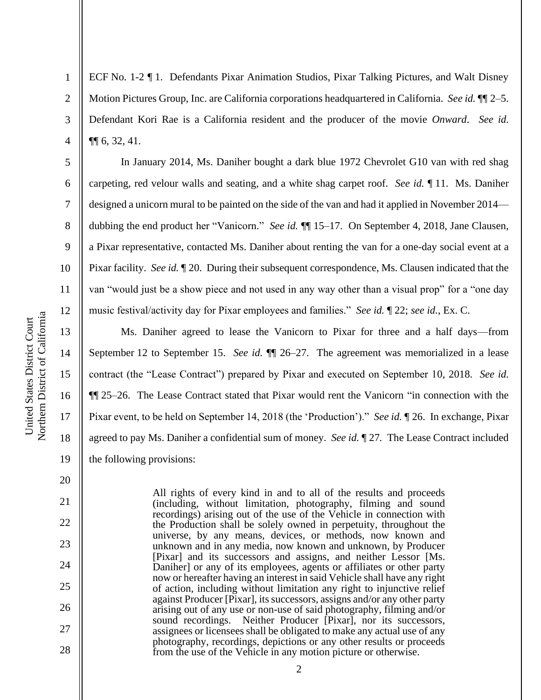2

3

4

5

6

7

8

9

10

11

12

13

14

15

16

17

18

19

20

21

22

23

24

25

26

27

28

ECF No. 1-2 ¶ 1. Defendants Pixar Animation Studios, Pixar Talking Pictures, and Walt Disney Motion Pictures Group, Inc. are California corporations headquartered in California. *See id.* ¶¶ 2–5. Defendant Kori Rae is a California resident and the producer of the movie *Onward*. *See id.*  ¶¶ 6, 32, 41.

In January 2014, Ms. Daniher bought a dark blue 1972 Chevrolet G10 van with red shag carpeting, red velour walls and seating, and a white shag carpet roof. *See id.* ¶ 11. Ms. Daniher designed a unicorn mural to be painted on the side of the van and had it applied in November 2014 dubbing the end product her "Vanicorn." *See id.* ¶¶ 15–17. On September 4, 2018, Jane Clausen, a Pixar representative, contacted Ms. Daniher about renting the van for a one-day social event at a Pixar facility. *See id.* ¶ 20. During their subsequent correspondence, Ms. Clausen indicated that the van "would just be a show piece and not used in any way other than a visual prop" for a "one day music festival/activity day for Pixar employees and families." *See id.* ¶ 22; *see id.*, Ex. C.

Ms. Daniher agreed to lease the Vanicorn to Pixar for three and a half days—from September 12 to September 15. *See id.* ¶¶ 26–27. The agreement was memorialized in a lease contract (the "Lease Contract") prepared by Pixar and executed on September 10, 2018. *See id.* ¶¶ 25–26. The Lease Contract stated that Pixar would rent the Vanicorn "in connection with the Pixar event, to be held on September 14, 2018 (the 'Production')." *See id.* ¶ 26. In exchange, Pixar agreed to pay Ms. Daniher a confidential sum of money. *See id.* ¶ 27*.* The Lease Contract included the following provisions:

> All rights of every kind in and to all of the results and proceeds (including, without limitation, photography, filming and sound recordings) arising out of the use of the Vehicle in connection with the Production shall be solely owned in perpetuity, throughout the universe, by any means, devices, or methods, now known and unknown and in any media, now known and unknown, by Producer [Pixar] and its successors and assigns, and neither Lessor [Ms. Daniher] or any of its employees, agents or affiliates or other party now or hereafter having an interest in said Vehicle shall have any right of action, including without limitation any right to injunctive relief against Producer [Pixar], its successors, assigns and/or any other party arising out of any use or non-use of said photography, filming and/or sound recordings. Neither Producer [Pixar], nor its successors, assignees or licensees shall be obligated to make any actual use of any photography, recordings, depictions or any other results or proceeds from the use of the Vehicle in any motion picture or otherwise.

> > 2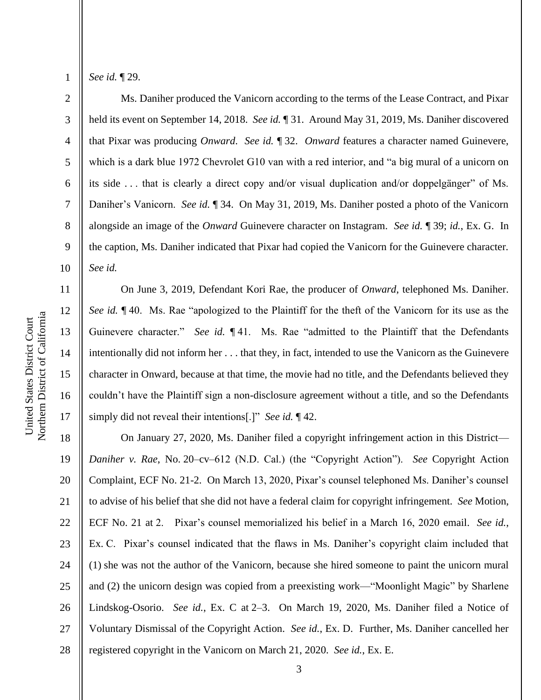2

3

4

5

6

7

8

9

10

11

12

13

14

15

16

17

*See id.* ¶ 29.

Ms. Daniher produced the Vanicorn according to the terms of the Lease Contract, and Pixar held its event on September 14, 2018. *See id.* ¶ 31. Around May 31, 2019, Ms. Daniher discovered that Pixar was producing *Onward*. *See id.* ¶ 32. *Onward* features a character named Guinevere, which is a dark blue 1972 Chevrolet G10 van with a red interior, and "a big mural of a unicorn on its side . . . that is clearly a direct copy and/or visual duplication and/or doppelgänger" of Ms. Daniher's Vanicorn. *See id.* ¶ 34. On May 31, 2019, Ms. Daniher posted a photo of the Vanicorn alongside an image of the *Onward* Guinevere character on Instagram. *See id.* ¶ 39; *id.*, Ex. G. In the caption, Ms. Daniher indicated that Pixar had copied the Vanicorn for the Guinevere character. *See id.*

On June 3, 2019, Defendant Kori Rae, the producer of *Onward*, telephoned Ms. Daniher. *See id.* ¶ 40. Ms. Rae "apologized to the Plaintiff for the theft of the Vanicorn for its use as the Guinevere character." *See id.* ¶ 41. Ms. Rae "admitted to the Plaintiff that the Defendants intentionally did not inform her . . . that they, in fact, intended to use the Vanicorn as the Guinevere character in Onward, because at that time, the movie had no title, and the Defendants believed they couldn't have the Plaintiff sign a non-disclosure agreement without a title, and so the Defendants simply did not reveal their intentions[.]" *See id.* ¶ 42.

18 19 20 21 22 23 24 25 26 27 28 On January 27, 2020, Ms. Daniher filed a copyright infringement action in this District— *Daniher v. Rae*, No. 20–cv–612 (N.D. Cal.) (the "Copyright Action"). *See* Copyright Action Complaint, ECF No. 21-2. On March 13, 2020, Pixar's counsel telephoned Ms. Daniher's counsel to advise of his belief that she did not have a federal claim for copyright infringement. *See* Motion, ECF No. 21 at 2. Pixar's counsel memorialized his belief in a March 16, 2020 email. *See id.*, Ex. C. Pixar's counsel indicated that the flaws in Ms. Daniher's copyright claim included that (1) she was not the author of the Vanicorn, because she hired someone to paint the unicorn mural and (2) the unicorn design was copied from a preexisting work—"Moonlight Magic" by Sharlene Lindskog-Osorio. *See id.*, Ex. C at 2–3. On March 19, 2020, Ms. Daniher filed a Notice of Voluntary Dismissal of the Copyright Action. *See id.*, Ex. D. Further, Ms. Daniher cancelled her registered copyright in the Vanicorn on March 21, 2020. *See id.*, Ex. E.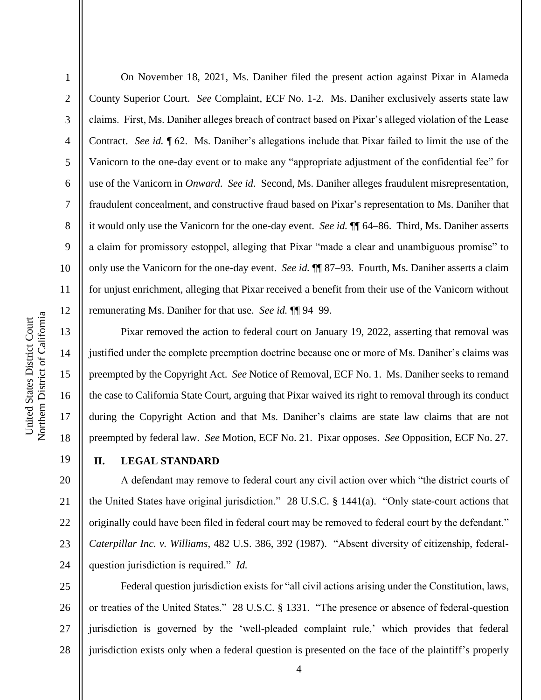2

3

4

5

6

7

8

9

10

11

12

13

14

15

16

17

18

19

On November 18, 2021, Ms. Daniher filed the present action against Pixar in Alameda County Superior Court. *See* Complaint, ECF No. 1-2. Ms. Daniher exclusively asserts state law claims. First, Ms. Daniher alleges breach of contract based on Pixar's alleged violation of the Lease Contract. *See id.* ¶ 62. Ms. Daniher's allegations include that Pixar failed to limit the use of the Vanicorn to the one-day event or to make any "appropriate adjustment of the confidential fee" for use of the Vanicorn in *Onward*. *See id*. Second, Ms. Daniher alleges fraudulent misrepresentation, fraudulent concealment, and constructive fraud based on Pixar's representation to Ms. Daniher that it would only use the Vanicorn for the one-day event. *See id.* ¶¶ 64–86. Third, Ms. Daniher asserts a claim for promissory estoppel, alleging that Pixar "made a clear and unambiguous promise" to only use the Vanicorn for the one-day event. *See id.* ¶¶ 87–93. Fourth, Ms. Daniher asserts a claim for unjust enrichment, alleging that Pixar received a benefit from their use of the Vanicorn without remunerating Ms. Daniher for that use. *See id.* ¶¶ 94–99.

Pixar removed the action to federal court on January 19, 2022, asserting that removal was justified under the complete preemption doctrine because one or more of Ms. Daniher's claims was preempted by the Copyright Act. *See* Notice of Removal, ECF No. 1. Ms. Daniher seeks to remand the case to California State Court, arguing that Pixar waived its right to removal through its conduct during the Copyright Action and that Ms. Daniher's claims are state law claims that are not preempted by federal law. *See* Motion, ECF No. 21. Pixar opposes. *See* Opposition, ECF No. 27.

**II. LEGAL STANDARD**

20 21 22 23 24 A defendant may remove to federal court any civil action over which "the district courts of the United States have original jurisdiction." 28 U.S.C. § 1441(a). "Only state-court actions that originally could have been filed in federal court may be removed to federal court by the defendant." *Caterpillar Inc. v. Williams*, 482 U.S. 386, 392 (1987). "Absent diversity of citizenship, federalquestion jurisdiction is required." *Id.*

25 26 27 28 Federal question jurisdiction exists for "all civil actions arising under the Constitution, laws, or treaties of the United States." 28 U.S.C. § 1331. "The presence or absence of federal-question jurisdiction is governed by the 'well-pleaded complaint rule,' which provides that federal jurisdiction exists only when a federal question is presented on the face of the plaintiff's properly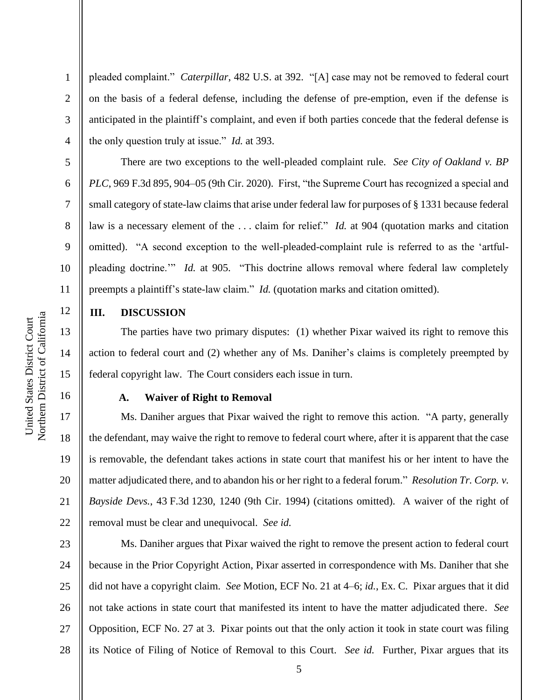Northern District of California Northern District of California United States District Court United States District Court

1

2

3

4

5

6

7

8

9

10

11

12

13

14

15

16

17

18

19

20

21

22

pleaded complaint." *Caterpillar*, 482 U.S. at 392. "[A] case may not be removed to federal court on the basis of a federal defense, including the defense of pre-emption, even if the defense is anticipated in the plaintiff's complaint, and even if both parties concede that the federal defense is the only question truly at issue." *Id.* at 393.

There are two exceptions to the well-pleaded complaint rule. *See City of Oakland v. BP PLC*, 969 F.3d 895, 904–05 (9th Cir. 2020). First, "the Supreme Court has recognized a special and small category of state-law claims that arise under federal law for purposes of § 1331 because federal law is a necessary element of the . . . claim for relief." *Id.* at 904 (quotation marks and citation omitted). "A second exception to the well-pleaded-complaint rule is referred to as the 'artfulpleading doctrine.'" *Id.* at 905. "This doctrine allows removal where federal law completely preempts a plaintiff's state-law claim." *Id.* (quotation marks and citation omitted).

## **III. DISCUSSION**

The parties have two primary disputes: (1) whether Pixar waived its right to remove this action to federal court and (2) whether any of Ms. Daniher's claims is completely preempted by federal copyright law. The Court considers each issue in turn.

## **A. Waiver of Right to Removal**

Ms. Daniher argues that Pixar waived the right to remove this action. "A party, generally the defendant, may waive the right to remove to federal court where, after it is apparent that the case is removable, the defendant takes actions in state court that manifest his or her intent to have the matter adjudicated there, and to abandon his or her right to a federal forum." *Resolution Tr. Corp. v. Bayside Devs.*, 43 F.3d 1230, 1240 (9th Cir. 1994) (citations omitted). A waiver of the right of removal must be clear and unequivocal. *See id.*

23 24 25 26 27 28 Ms. Daniher argues that Pixar waived the right to remove the present action to federal court because in the Prior Copyright Action, Pixar asserted in correspondence with Ms. Daniher that she did not have a copyright claim. *See* Motion, ECF No. 21 at 4–6; *id.*, Ex. C. Pixar argues that it did not take actions in state court that manifested its intent to have the matter adjudicated there. *See*  Opposition, ECF No. 27 at 3. Pixar points out that the only action it took in state court was filing its Notice of Filing of Notice of Removal to this Court. *See id.* Further, Pixar argues that its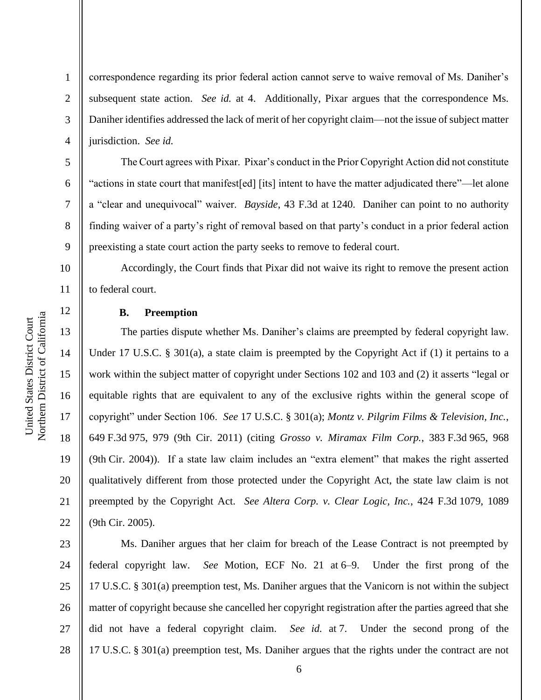2

3

4

5

6

7

8

9

10

11

12

13

14

15

16

17

18

19

20

21

22

correspondence regarding its prior federal action cannot serve to waive removal of Ms. Daniher's subsequent state action. *See id.* at 4. Additionally, Pixar argues that the correspondence Ms. Daniher identifies addressed the lack of merit of her copyright claim—not the issue of subject matter jurisdiction. *See id.*

The Court agrees with Pixar. Pixar's conduct in the Prior Copyright Action did not constitute "actions in state court that manifest[ed] [its] intent to have the matter adjudicated there"—let alone a "clear and unequivocal" waiver. *Bayside*, 43 F.3d at 1240. Daniher can point to no authority finding waiver of a party's right of removal based on that party's conduct in a prior federal action preexisting a state court action the party seeks to remove to federal court.

Accordingly, the Court finds that Pixar did not waive its right to remove the present action to federal court.

## **B. Preemption**

The parties dispute whether Ms. Daniher's claims are preempted by federal copyright law. Under 17 U.S.C. § 301(a), a state claim is preempted by the Copyright Act if (1) it pertains to a work within the subject matter of copyright under Sections 102 and 103 and (2) it asserts "legal or equitable rights that are equivalent to any of the exclusive rights within the general scope of copyright" under Section 106. *See* 17 U.S.C. § 301(a); *Montz v. Pilgrim Films & Television, Inc.*, 649 F.3d 975, 979 (9th Cir. 2011) (citing *Grosso v. Miramax Film Corp.*, 383 F.3d 965, 968 (9th Cir. 2004)). If a state law claim includes an "extra element" that makes the right asserted qualitatively different from those protected under the Copyright Act, the state law claim is not preempted by the Copyright Act. *See Altera Corp. v. Clear Logic, Inc.*, 424 F.3d 1079, 1089 (9th Cir. 2005).

23 24 25 26 27 28 Ms. Daniher argues that her claim for breach of the Lease Contract is not preempted by federal copyright law. *See* Motion, ECF No. 21 at 6–9. Under the first prong of the 17 U.S.C. § 301(a) preemption test, Ms. Daniher argues that the Vanicorn is not within the subject matter of copyright because she cancelled her copyright registration after the parties agreed that she did not have a federal copyright claim. *See id.* at 7. Under the second prong of the 17 U.S.C. § 301(a) preemption test, Ms. Daniher argues that the rights under the contract are not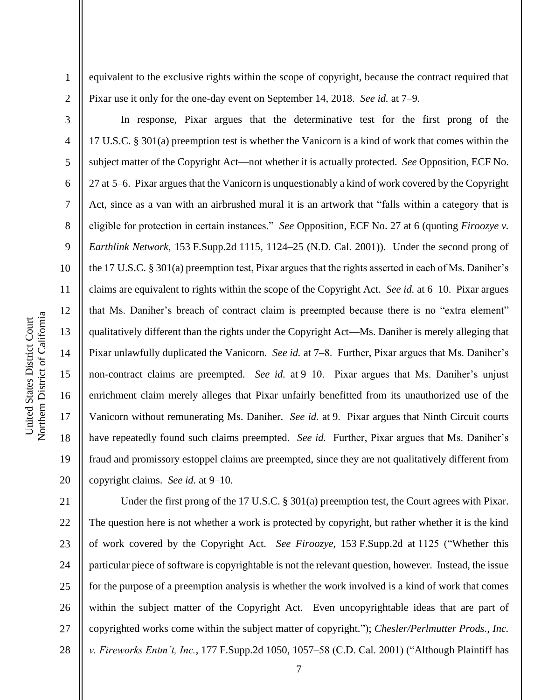Northern District of California Northern District of California United States District Court United States District Court

1

2

3

4

5

6

7

8

9

10

11

12

13

14

15

16

17

18

19

20

equivalent to the exclusive rights within the scope of copyright, because the contract required that Pixar use it only for the one-day event on September 14, 2018. *See id.* at 7–9.

In response, Pixar argues that the determinative test for the first prong of the 17 U.S.C. § 301(a) preemption test is whether the Vanicorn is a kind of work that comes within the subject matter of the Copyright Act—not whether it is actually protected. *See* Opposition, ECF No. 27 at 5–6. Pixar argues that the Vanicorn is unquestionably a kind of work covered by the Copyright Act, since as a van with an airbrushed mural it is an artwork that "falls within a category that is eligible for protection in certain instances." *See* Opposition, ECF No. 27 at 6 (quoting *Firoozye v. Earthlink Network*, 153 F.Supp.2d 1115, 1124–25 (N.D. Cal. 2001)). Under the second prong of the 17 U.S.C. § 301(a) preemption test, Pixar argues that the rights asserted in each of Ms. Daniher's claims are equivalent to rights within the scope of the Copyright Act. *See id.* at 6–10. Pixar argues that Ms. Daniher's breach of contract claim is preempted because there is no "extra element" qualitatively different than the rights under the Copyright Act—Ms. Daniher is merely alleging that Pixar unlawfully duplicated the Vanicorn. *See id.* at 7–8. Further, Pixar argues that Ms. Daniher's non-contract claims are preempted. *See id.* at 9–10. Pixar argues that Ms. Daniher's unjust enrichment claim merely alleges that Pixar unfairly benefitted from its unauthorized use of the Vanicorn without remunerating Ms. Daniher. *See id.* at 9. Pixar argues that Ninth Circuit courts have repeatedly found such claims preempted. *See id.* Further, Pixar argues that Ms. Daniher's fraud and promissory estoppel claims are preempted, since they are not qualitatively different from copyright claims. *See id.* at 9–10.

21 22 23 24 25 26 27 28 Under the first prong of the 17 U.S.C. § 301(a) preemption test, the Court agrees with Pixar. The question here is not whether a work is protected by copyright, but rather whether it is the kind of work covered by the Copyright Act. *See Firoozye*, 153 F.Supp.2d at 1125 ("Whether this particular piece of software is copyrightable is not the relevant question, however. Instead, the issue for the purpose of a preemption analysis is whether the work involved is a kind of work that comes within the subject matter of the Copyright Act. Even uncopyrightable ideas that are part of copyrighted works come within the subject matter of copyright."); *Chesler/Perlmutter Prods., Inc. v. Fireworks Entm't, Inc.*, 177 F.Supp.2d 1050, 1057–58 (C.D. Cal. 2001) ("Although Plaintiff has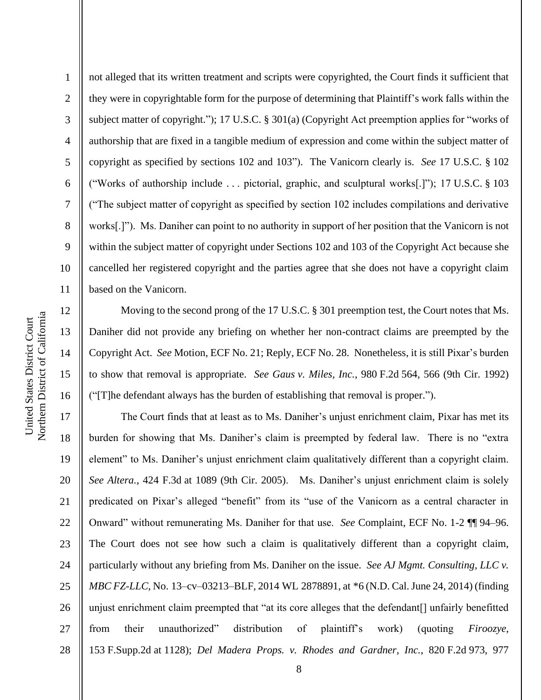13

14

15

16

1 2 3 4 5 6 7 8 9 10 11 not alleged that its written treatment and scripts were copyrighted, the Court finds it sufficient that they were in copyrightable form for the purpose of determining that Plaintiff's work falls within the subject matter of copyright."); 17 U.S.C. § 301(a) (Copyright Act preemption applies for "works of authorship that are fixed in a tangible medium of expression and come within the subject matter of copyright as specified by sections 102 and 103"). The Vanicorn clearly is. *See* 17 U.S.C. § 102 ("Works of authorship include . . . pictorial, graphic, and sculptural works[.]"); 17 U.S.C. § 103 ("The subject matter of copyright as specified by section 102 includes compilations and derivative works[.]"). Ms. Daniher can point to no authority in support of her position that the Vanicorn is not within the subject matter of copyright under Sections 102 and 103 of the Copyright Act because she cancelled her registered copyright and the parties agree that she does not have a copyright claim based on the Vanicorn.

Moving to the second prong of the 17 U.S.C. § 301 preemption test, the Court notes that Ms. Daniher did not provide any briefing on whether her non-contract claims are preempted by the Copyright Act. *See* Motion, ECF No. 21; Reply, ECF No. 28. Nonetheless, it is still Pixar's burden to show that removal is appropriate. *See Gaus v. Miles, Inc.*, 980 F.2d 564, 566 (9th Cir. 1992) ("[T]he defendant always has the burden of establishing that removal is proper.").

17 18 19 20 21 22 23 24 25 26 27 28 The Court finds that at least as to Ms. Daniher's unjust enrichment claim, Pixar has met its burden for showing that Ms. Daniher's claim is preempted by federal law. There is no "extra element" to Ms. Daniher's unjust enrichment claim qualitatively different than a copyright claim. *See Altera.*, 424 F.3d at 1089 (9th Cir. 2005). Ms. Daniher's unjust enrichment claim is solely predicated on Pixar's alleged "benefit" from its "use of the Vanicorn as a central character in Onward" without remunerating Ms. Daniher for that use. *See* Complaint, ECF No. 1-2 ¶¶ 94–96. The Court does not see how such a claim is qualitatively different than a copyright claim, particularly without any briefing from Ms. Daniher on the issue. *See AJ Mgmt. Consulting, LLC v. MBC FZ-LLC*, No. 13–cv–03213–BLF, 2014 WL 2878891, at \*6 (N.D. Cal. June 24, 2014) (finding unjust enrichment claim preempted that "at its core alleges that the defendant[] unfairly benefitted from their unauthorized" distribution of plaintiff's work) (quoting *Firoozye*, 153 F.Supp.2d at 1128); *Del Madera Props. v. Rhodes and Gardner, Inc.*, 820 F.2d 973, 977